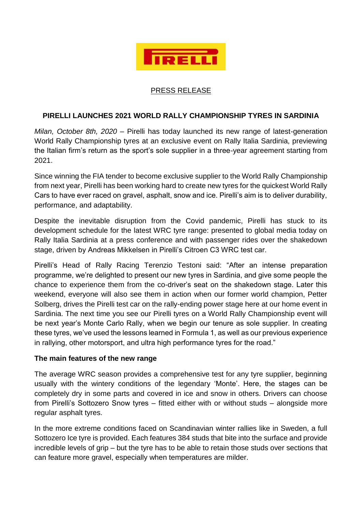

## PRESS RELEASE

## **PIRELLI LAUNCHES 2021 WORLD RALLY CHAMPIONSHIP TYRES IN SARDINIA**

*Milan, October 8th, 2020 –* Pirelli has today launched its new range of latest-generation World Rally Championship tyres at an exclusive event on Rally Italia Sardinia, previewing the Italian firm's return as the sport's sole supplier in a three-year agreement starting from 2021.

Since winning the FIA tender to become exclusive supplier to the World Rally Championship from next year, Pirelli has been working hard to create new tyres for the quickest World Rally Cars to have ever raced on gravel, asphalt, snow and ice. Pirelli's aim is to deliver durability, performance, and adaptability.

Despite the inevitable disruption from the Covid pandemic, Pirelli has stuck to its development schedule for the latest WRC tyre range: presented to global media today on Rally Italia Sardinia at a press conference and with passenger rides over the shakedown stage, driven by Andreas Mikkelsen in Pirelli's Citroen C3 WRC test car.

Pirelli's Head of Rally Racing Terenzio Testoni said: "After an intense preparation programme, we're delighted to present our new tyres in Sardinia, and give some people the chance to experience them from the co-driver's seat on the shakedown stage. Later this weekend, everyone will also see them in action when our former world champion, Petter Solberg, drives the Pirelli test car on the rally-ending power stage here at our home event in Sardinia. The next time you see our Pirelli tyres on a World Rally Championship event will be next year's Monte Carlo Rally, when we begin our tenure as sole supplier. In creating these tyres, we've used the lessons learned in Formula 1, as well as our previous experience in rallying, other motorsport, and ultra high performance tyres for the road."

## **The main features of the new range**

The average WRC season provides a comprehensive test for any tyre supplier, beginning usually with the wintery conditions of the legendary 'Monte'. Here, the stages can be completely dry in some parts and covered in ice and snow in others. Drivers can choose from Pirelli's Sottozero Snow tyres – fitted either with or without studs – alongside more regular asphalt tyres.

In the more extreme conditions faced on Scandinavian winter rallies like in Sweden, a full Sottozero Ice tyre is provided. Each features 384 studs that bite into the surface and provide incredible levels of grip – but the tyre has to be able to retain those studs over sections that can feature more gravel, especially when temperatures are milder.